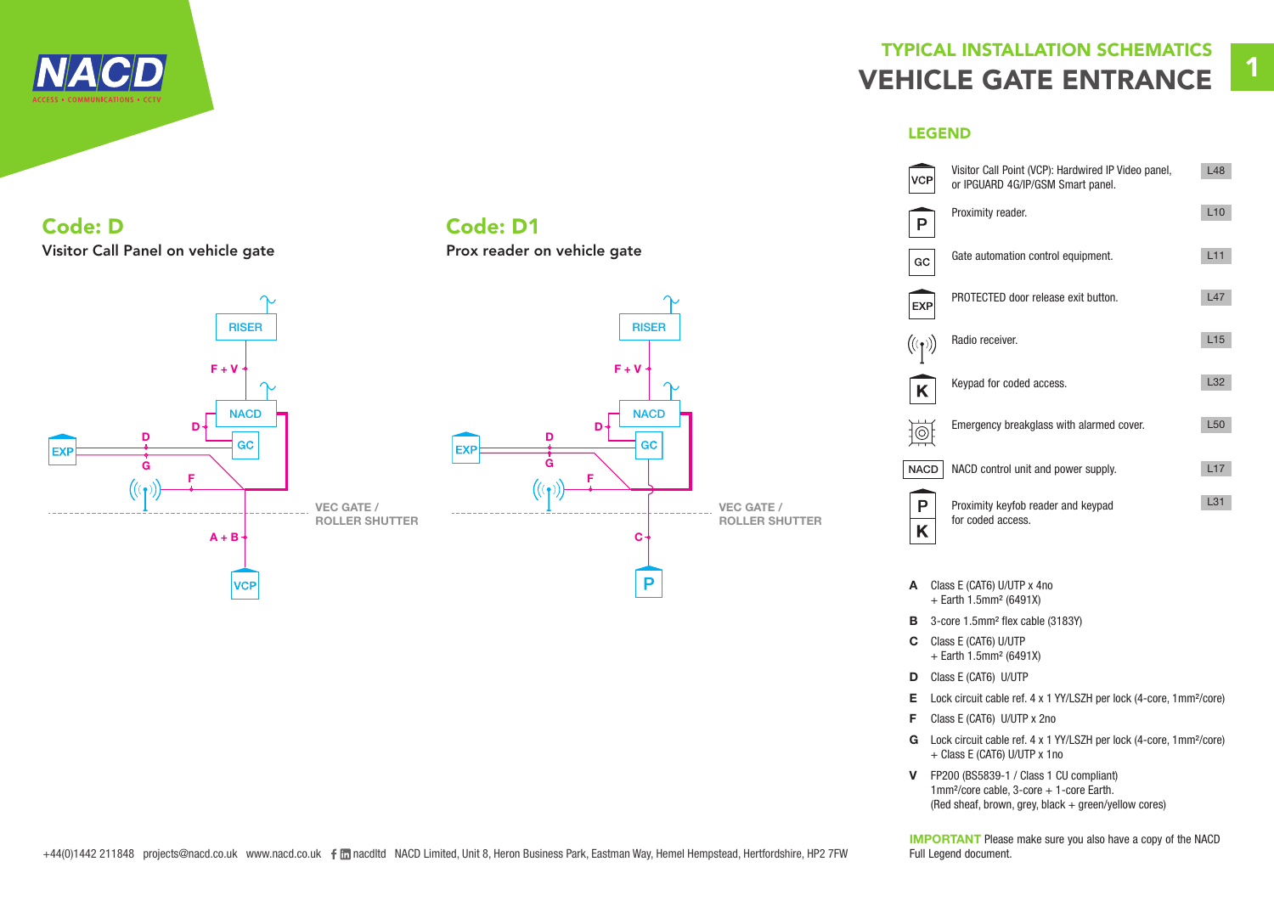

### Code: D Visitor Call Panel on vehicle gate



#### $\sim$ RISER  $F + V$ **NACD** D D GC EXF G F VEC GATE / ROLLER SHUTTER C P

Code: D1

Prox reader on vehicle gate

## TYPICAL INSTALLATION SCHEMATICS VEHICLE GATE ENTRANCE 1

LEGEND

|                                            | Visitor Call Point (VCP): Hardwired IP Video panel,<br>or IPGUARD 4G/IP/GSM Smart panel. | L48             |
|--------------------------------------------|------------------------------------------------------------------------------------------|-----------------|
|                                            | Proximity reader.                                                                        | L10             |
| GC                                         | Gate automation control equipment.                                                       | L11             |
| <b>EXP</b>                                 | PROTECTED door release exit button.                                                      | L47             |
| $\left(\!\left(\mathbf{r}\right)\!\right)$ | Radio receiver.                                                                          | L15             |
| K                                          | Keypad for coded access.                                                                 | L32             |
|                                            | Emergency breakglass with alarmed cover.                                                 | L <sub>50</sub> |
| <b>NACD</b>                                | NACD control unit and power supply.                                                      | L17             |
| P<br>Κ                                     | Proximity keyfob reader and keypad<br>for coded access.                                  | L31             |

- A Class E (CAT6) U/UTP x 4no + Earth 1.5mm² (6491X)
- B 3-core 1.5mm<sup>2</sup> flex cable (3183Y)
- C Class E (CAT6) U/UTP + Earth 1.5mm² (6491X)
- D Class E (CAT6) U/UTP
- E Lock circuit cable ref. 4 x 1 YY/LSZH per lock (4-core, 1mm²/core)
- F Class E (CAT6) U/UTP x 2no
- G Lock circuit cable ref. 4 x 1 YY/LSZH per lock (4-core, 1mm²/core) + Class E (CAT6) U/UTP x 1no
- V FP200 (BS5839-1 / Class 1 CU compliant)  $1$ mm²/core cable, 3-core + 1-core Earth. (Red sheaf, brown, grey, black + green/yellow cores)

IMPORTANT Please make sure you also have a copy of the NACD Full Legend document.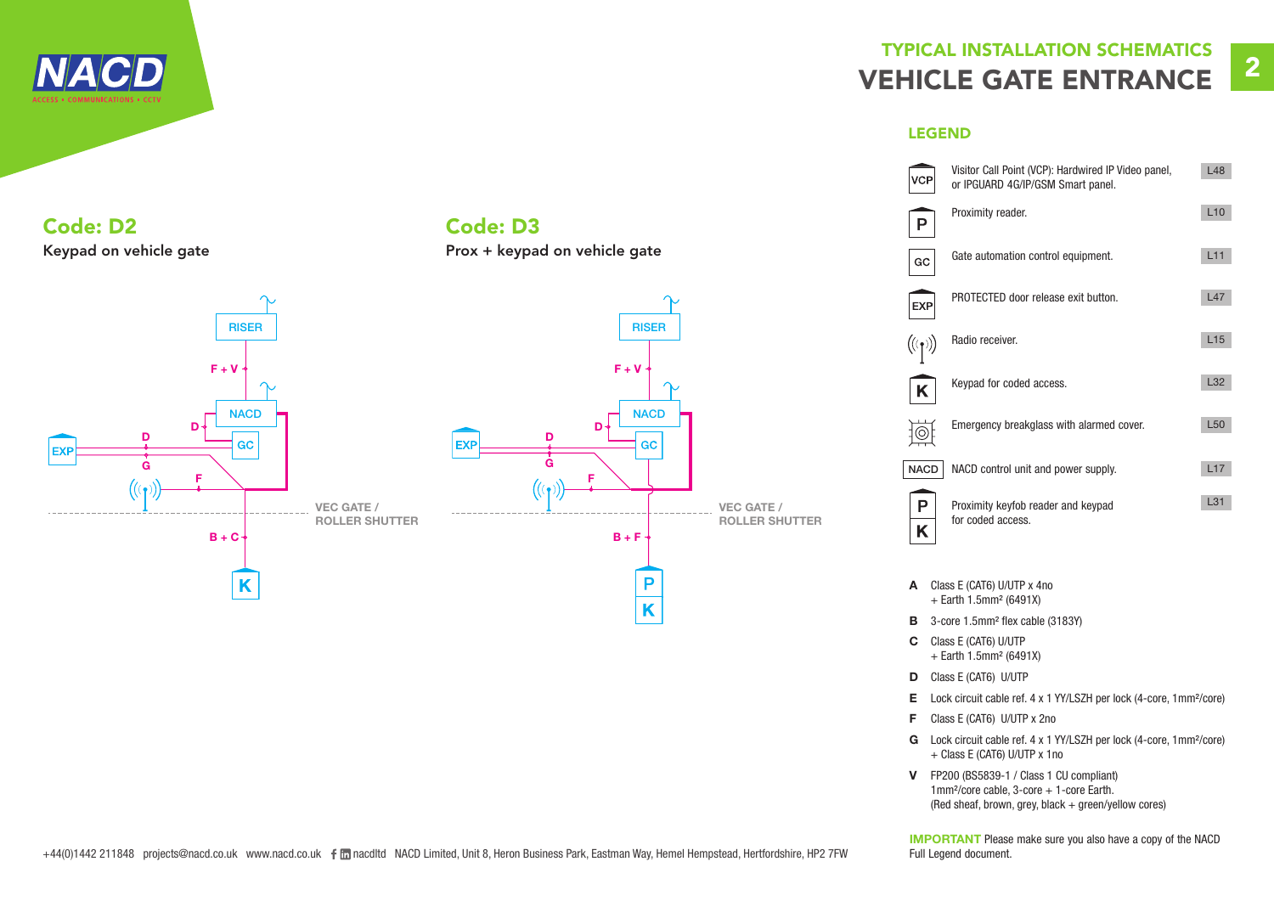

# TYPICAL INSTALLATION SCHEMATICS VEHICLE GATE ENTRANCE

#### LEGEND



- + Earth 1.5mm² (6491X)
- D Class E (CAT6) U/UTP
- E Lock circuit cable ref. 4 x 1 YY/LSZH per lock (4-core, 1mm²/core)
- F Class E (CAT6) U/UTP x 2no
- G Lock circuit cable ref. 4 x 1 YY/LSZH per lock (4-core, 1mm²/core) + Class E (CAT6) U/UTP x 1no
- V FP200 (BS5839-1 / Class 1 CU compliant) 1mm<sup>2</sup>/core cable, 3-core + 1-core Earth. (Red sheaf, brown, grey, black + green/yellow cores)

IMPORTANT Please make sure you also have a copy of the NACD

### Code: D2 Keypad on vehicle gate





Code: D3

Prox + keypad on vehicle gate